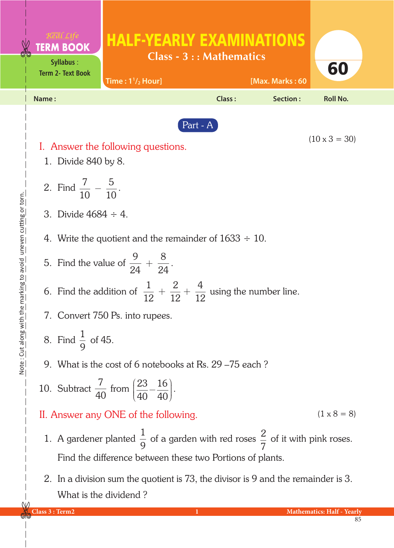|                                              | <b>TERM BOOK</b><br>Syllabus:<br><b>Term 2- Text Book</b>                                     | <b>HALF-YEARLY EXAMINATIONS</b><br>Time: $1^{1}/_{2}$ Hour]                                                                                                      | <b>Class - 3 :: Mathematics</b> | [Max. Marks: 60 | 60                                |  |  |  |
|----------------------------------------------|-----------------------------------------------------------------------------------------------|------------------------------------------------------------------------------------------------------------------------------------------------------------------|---------------------------------|-----------------|-----------------------------------|--|--|--|
|                                              | Name:                                                                                         |                                                                                                                                                                  | <b>Class:</b>                   | <b>Section:</b> | <b>Roll No.</b>                   |  |  |  |
| the marking to avoid uneven cutting or torn. | Part - A<br>$(10 \times 3 = 30)$<br>I. Answer the following questions.<br>1. Divide 840 by 8. |                                                                                                                                                                  |                                 |                 |                                   |  |  |  |
|                                              |                                                                                               | 2. Find $\frac{7}{10} - \frac{5}{10}$ .<br>3. Divide $4684 \div 4$ .                                                                                             |                                 |                 |                                   |  |  |  |
|                                              |                                                                                               |                                                                                                                                                                  |                                 |                 |                                   |  |  |  |
|                                              |                                                                                               | 4. Write the quotient and the remainder of $1633 \div 10$ .                                                                                                      |                                 |                 |                                   |  |  |  |
|                                              | 5. Find the value of $\frac{9}{24} + \frac{8}{24}$ .                                          |                                                                                                                                                                  |                                 |                 |                                   |  |  |  |
|                                              | 6. Find the addition of $\frac{1}{12} + \frac{2}{12} + \frac{4}{12}$ using the number line.   |                                                                                                                                                                  |                                 |                 |                                   |  |  |  |
|                                              | 7. Convert 750 Ps. into rupees.                                                               |                                                                                                                                                                  |                                 |                 |                                   |  |  |  |
| Note: Cut along with                         |                                                                                               | 8. Find $\frac{1}{9}$ of 45.                                                                                                                                     |                                 |                 |                                   |  |  |  |
|                                              |                                                                                               | 9. What is the cost of 6 notebooks at Rs. 29 – 75 each?                                                                                                          |                                 |                 |                                   |  |  |  |
|                                              |                                                                                               | 10. Subtract $\frac{7}{40}$ from $\left(\frac{23}{40} - \frac{16}{40}\right)$ .                                                                                  |                                 |                 |                                   |  |  |  |
|                                              |                                                                                               | $(1 \times 8 = 8)$<br>II. Answer any ONE of the following.                                                                                                       |                                 |                 |                                   |  |  |  |
|                                              |                                                                                               | 1. A gardener planted $\frac{1}{9}$ of a garden with red roses $\frac{2}{7}$ of it with pink roses.<br>Find the difference between these two Portions of plants. |                                 |                 |                                   |  |  |  |
|                                              |                                                                                               | 2. In a division sum the quotient is 73, the divisor is 9 and the remainder is 3.<br>What is the dividend?                                                       |                                 |                 |                                   |  |  |  |
|                                              | Class 3 : Term2                                                                               |                                                                                                                                                                  |                                 |                 | <b>Mathematics: Half - Yearly</b> |  |  |  |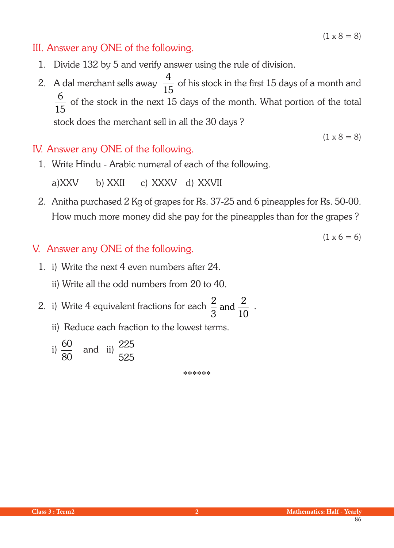$(1 \times 8 = 8)$ 

## III. Answer any ONE of the following.

- 1. Divide 132 by 5 and verify answer using the rule of division.
- 2. A dal merchant sells away  $\frac{4}{15}$  $\frac{1}{15}$  of his stock in the first 15 days of a month and 6 15 of the stock in the next 15 days of the month. What portion of the total stock does the merchant sell in all the 30 days ?

## IV. Answer any ONE of the following.

1. Write Hindu - Arabic numeral of each of the following.

a)XXV b) XXII c) XXXV d) XXVII

2. Anitha purchased 2 Kg of grapes for Rs. 37-25 and 6 pineapples for Rs. 50-00. How much more money did she pay for the pineapples than for the grapes ?

 $(1 \times 6 = 6)$ 

## V. Answer any ONE of the following.

1. i) Write the next 4 even numbers after 24.

ii) Write all the odd numbers from 20 to 40.

- 2. i) Write 4 equivalent fractions for each  $\frac{2}{3}$ 3 2 10 and  $\frac{2}{10}$ .
	- ii) Reduce each fraction to the lowest terms.

i) 
$$
\frac{60}{80}
$$
 and ii)  $\frac{225}{525}$ 

\*\*\*\*\*\*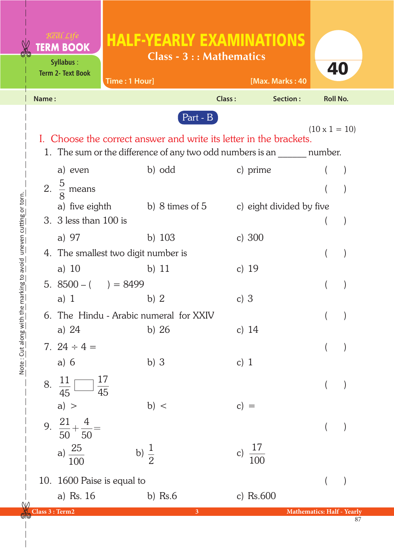|                                            |                 | <b>TERM BOOK</b><br>Syllabus:<br><b>Term 2- Text Book</b> | <b>HALF-YEARLY EXAMINATIONS</b><br>Time: 1 Hour]                                                                                                 | <b>Class - 3 :: Mathematics</b> | [Max. Marks: 40     | 40                                |  |
|--------------------------------------------|-----------------|-----------------------------------------------------------|--------------------------------------------------------------------------------------------------------------------------------------------------|---------------------------------|---------------------|-----------------------------------|--|
|                                            | Name:           |                                                           |                                                                                                                                                  | Class:                          | Section:            | <b>Roll No.</b>                   |  |
|                                            |                 |                                                           | I. Choose the correct answer and write its letter in the brackets.<br>1. The sum or the difference of any two odd numbers is an ________ number. | $Part - B$                      |                     | $(10 \times 1 = 10)$              |  |
|                                            |                 | a) even                                                   | b) odd                                                                                                                                           |                                 | c) prime            |                                   |  |
|                                            |                 | 2. $\frac{5}{8}$ means                                    |                                                                                                                                                  |                                 |                     |                                   |  |
|                                            |                 | 3. 3 less than 100 is                                     | a) five eighth b) 8 times of 5 c) eight divided by five                                                                                          |                                 |                     |                                   |  |
|                                            |                 | a) 97                                                     | b) $103$                                                                                                                                         |                                 | c) $300$            |                                   |  |
|                                            |                 |                                                           | 4. The smallest two digit number is                                                                                                              |                                 |                     |                                   |  |
| the marking to avoid uneen cutting or torn |                 | a) $10$<br>5. $8500 - ($ $) = 8499$                       | b) $11$                                                                                                                                          |                                 | c) $19$             |                                   |  |
|                                            |                 | a) $1$                                                    | b) $2$<br>6. The Hindu - Arabic numeral for XXIV                                                                                                 | c) $3$                          |                     |                                   |  |
|                                            |                 | a) 24                                                     | b) $26$                                                                                                                                          |                                 | c) $14$             | $($ $)$                           |  |
| <u>Note : Lut along with</u>               |                 | 7. $24 \div 4 =$<br>a) $6$                                | $b)$ 3                                                                                                                                           | c) $1$                          |                     |                                   |  |
|                                            |                 | $\frac{17}{45}$<br>8. $\frac{11}{45}$                     |                                                                                                                                                  |                                 |                     |                                   |  |
|                                            |                 | a) ><br>9. $\frac{21}{50} + \frac{4}{50} =$               | b) <                                                                                                                                             | $c) =$                          |                     |                                   |  |
|                                            |                 | a) $\frac{25}{100}$                                       | b) $\frac{1}{2}$                                                                                                                                 |                                 | c) $\frac{17}{100}$ |                                   |  |
|                                            |                 | 10. 1600 Paise is equal to                                |                                                                                                                                                  |                                 |                     |                                   |  |
| ${\sf W}$                                  |                 | a) Rs. 16                                                 | b) $Rs.6$                                                                                                                                        |                                 | c) $Rs.600$         |                                   |  |
|                                            | Class 3 : Term2 |                                                           |                                                                                                                                                  | $\mathbf{3}$                    |                     | <b>Mathematics: Half - Yearly</b> |  |

Note: Cut along with the marking to avoid uneven cutting or torn. Note : Cut along with the marking to avoid uneven cutting or torn.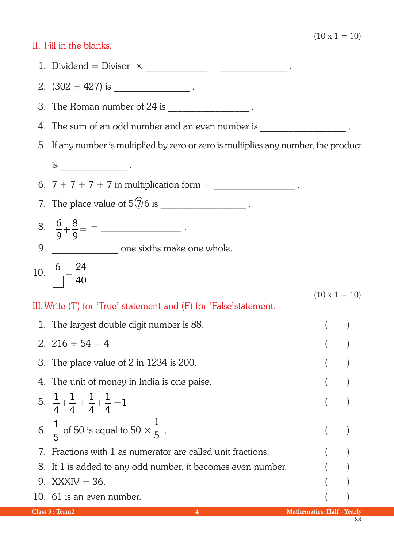## II. Fill in the blanks.

|                                                                                            | 1. Dividend = Divisor $\times$ ________________ + _________________.                 |                                   |  |  |  |  |
|--------------------------------------------------------------------------------------------|--------------------------------------------------------------------------------------|-----------------------------------|--|--|--|--|
|                                                                                            | 2. $(302 + 427)$ is ________________________.                                        |                                   |  |  |  |  |
|                                                                                            | 3. The Roman number of $24$ is $\frac{1}{2}$ $\frac{1}{2}$ .                         |                                   |  |  |  |  |
|                                                                                            | 4. The sum of an odd number and an even number is ____________________.              |                                   |  |  |  |  |
|                                                                                            | 5. If any number is multiplied by zero or zero is multiplies any number, the product |                                   |  |  |  |  |
|                                                                                            | is $\frac{1}{2}$ .                                                                   |                                   |  |  |  |  |
|                                                                                            | 6. $7 + 7 + 7 + 7$ in multiplication form = _____________________.                   |                                   |  |  |  |  |
|                                                                                            | 7. The place value of $5\overline{0}6$ is ___________________.                       |                                   |  |  |  |  |
|                                                                                            | 8. $\frac{6}{9} + \frac{8}{9} =$ = _______________.                                  |                                   |  |  |  |  |
|                                                                                            | 9. ___________________ one sixths make one whole.                                    |                                   |  |  |  |  |
|                                                                                            | 10. $\frac{6}{\sqrt{ }} = \frac{24}{40}$                                             |                                   |  |  |  |  |
| $(10 \times 1 = 10)$<br>III. Write (T) for 'True' statement and (F) for 'False' statement. |                                                                                      |                                   |  |  |  |  |
|                                                                                            | 1. The largest double digit number is 88.                                            |                                   |  |  |  |  |
|                                                                                            | 2. $216 \div 54 = 4$                                                                 |                                   |  |  |  |  |
|                                                                                            | 3. The place value of 2 in 1234 is 200.                                              |                                   |  |  |  |  |
|                                                                                            | 4. The unit of money in India is one paise.                                          |                                   |  |  |  |  |
|                                                                                            | 5. $\frac{1}{4} + \frac{1}{4} + \frac{1}{4} + \frac{1}{4} = 1$                       |                                   |  |  |  |  |
|                                                                                            | 6. $\frac{1}{5}$ of 50 is equal to 50 $\times \frac{1}{5}$ .                         |                                   |  |  |  |  |
| 7.                                                                                         | Fractions with 1 as numerator are called unit fractions.                             |                                   |  |  |  |  |
| 8.                                                                                         | If 1 is added to any odd number, it becomes even number.                             |                                   |  |  |  |  |
| 9.                                                                                         | $XXXIV = 36$ .                                                                       |                                   |  |  |  |  |
|                                                                                            | 10. 61 is an even number.                                                            |                                   |  |  |  |  |
|                                                                                            | Class 3 : Term2<br>4                                                                 | <b>Mathematics: Half - Yearly</b> |  |  |  |  |